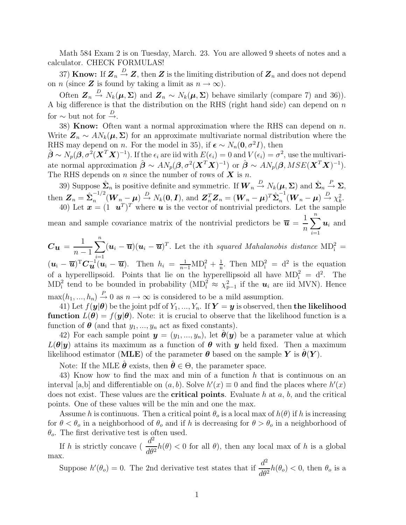Math 584 Exam 2 is on Tuesday, March. 23. You are allowed 9 sheets of notes and a calculator. CHECK FORMULAS!

37) **Know:** If  $\mathbf{Z}_n \stackrel{D}{\to} \mathbf{Z}$ , then  $\mathbf{Z}$  is the limiting distribution of  $\mathbf{Z}_n$  and does not depend on *n* (since **Z** is found by taking a limit as  $n \to \infty$ ).

Often  $\mathbf{Z}_n \stackrel{D}{\to} N_k(\boldsymbol{\mu}, \boldsymbol{\Sigma})$  and  $\mathbf{Z}_n \sim N_k(\boldsymbol{\mu}, \boldsymbol{\Sigma})$  behave similarly (compare 7) and 36)). A big difference is that the distribution on the RHS (right hand side) can depend on n for  $\sim$  but not for  $\stackrel{D}{\rightarrow}$ .

38) **Know:** Often want a normal approximation where the RHS can depend on  $n$ . Write  $\mathbf{Z}_n \sim AN_k(\boldsymbol{\mu}, \boldsymbol{\Sigma})$  for an approximate multivariate normal distribution where the RHS may depend on *n*. For the model in 35), if  $\epsilon \sim N_n(\mathbf{0}, \sigma^2 I)$ , then

 $\hat{\boldsymbol{\beta}} \sim N_p(\boldsymbol{\beta}, \sigma^2(\boldsymbol{X}^T\boldsymbol{X})^{-1}).$  If the  $\epsilon_i$  are iid with  $E(\epsilon_i) = 0$  and  $V(\epsilon_i) = \sigma^2$ , use the multivariate normal approximation  $\hat{\boldsymbol{\beta}} \sim AN_p(\boldsymbol{\beta}, \sigma^2(\boldsymbol{X}^T\boldsymbol{X})^{-1})$  or  $\hat{\boldsymbol{\beta}} \sim AN_p(\boldsymbol{\beta},MSE(\boldsymbol{X}^T\boldsymbol{X})^{-1})$ . The RHS depends on n since the number of rows of  $X$  is n.

39) Suppose  $\hat{\Sigma}_n$  is positive definite and symmetric. If  $\boldsymbol{W}_n \stackrel{D}{\to} N_k(\boldsymbol{\mu}, \boldsymbol{\Sigma})$  and  $\hat{\boldsymbol{\Sigma}}_n \stackrel{P}{\to} \boldsymbol{\Sigma}$ , then  $\mathbf{Z}_n = \hat{\boldsymbol{\Sigma}}_n^{-1/2}$  $\sum_{n=1}^{n-1/2} (\boldsymbol{W}_n - \boldsymbol{\mu}) \stackrel{D}{\rightarrow} N_k(\boldsymbol{0}, \boldsymbol{I}),$  and  $\boldsymbol{Z}_n^T \boldsymbol{Z}_n = (\boldsymbol{W}_n - \boldsymbol{\mu})^T \hat{\boldsymbol{\Sigma}}_n^{-1}$  $\frac{1}{n}(\boldsymbol{W}_n - \boldsymbol{\mu}) \stackrel{D}{\rightarrow} \chi_k^2.$ 40) Let  $\mathbf{x} = (1 \ \mathbf{u}^T)^T$  where  $\mathbf{u}$  is the vector of nontrivial predictors. Let the sample

mean and sample covariance matrix of the nontrivial predictors be  $\bar{u} = \frac{1}{u}$ n  $\sum_{i=1}^{n} u_i$  and  $i=1$ 

 $C_{\boldsymbol{u}}=\frac{1}{n}$  $n-1$  $\sum_{i}^{n} (u_i - \overline{u})(u_i - \overline{u})^T$ . Let the *i*th *squared Mahalanobis distance* MD<sub>i</sub><sup>2</sup> =  $i=1$  $(\boldsymbol{u}_i - \overline{\boldsymbol{u}})^T \boldsymbol{C}_{\boldsymbol{u}}^{-1} (\boldsymbol{u}_i - \overline{\boldsymbol{u}})$ . Then  $h_i = \frac{1}{n-1} \text{MD}_i^2 + \frac{1}{n}$  $\frac{1}{n}$ . Then  $MD_i^2 = d^2$  is the equation of a hyperellipsoid. Points that lie on the hyperellipsoid all have  $MD_i^2 = d^2$ . The  $MD_i^2$  tend to be bounded in probability  $(MD_i^2 \approx \chi_{p-1}^2)$  if the  $u_i$  are iid MVN). Hence  $\max(h_1, ..., h_n) \stackrel{P}{\rightarrow} 0$  as  $n \rightarrow \infty$  is considered to be a mild assumption.

41) Let  $f(\mathbf{y}|\boldsymbol{\theta})$  be the joint pdf of  $Y_1, ..., Y_n$ . If  $\mathbf{Y} = \mathbf{y}$  is observed, then the likelihood **function**  $L(\theta) = f(y|\theta)$ . Note: it is crucial to observe that the likelihood function is a function of  $\boldsymbol{\theta}$  (and that  $y_1, ..., y_n$  act as fixed constants).

42) For each sample point  $y = (y_1, ..., y_n)$ , let  $\hat{\theta}(y)$  be a parameter value at which  $L(\theta|\mathbf{y})$  attains its maximum as a function of  $\theta$  with  $\mathbf{y}$  held fixed. Then a maximum likelihood estimator (MLE) of the parameter  $\theta$  based on the sample Y is  $\theta(Y)$ .

Note: If the MLE  $\hat{\theta}$  exists, then  $\hat{\theta} \in \Theta$ , the parameter space.

43) Know how to find the max and min of a function h that is continuous on an interval [a,b] and differentiable on  $(a, b)$ . Solve  $h'(x) \equiv 0$  and find the places where  $h'(x)$ does not exist. These values are the **critical points**. Evaluate h at  $a, b$ , and the critical points. One of these values will be the min and one the max.

Assume h is continuous. Then a critical point  $\theta_o$  is a local max of  $h(\theta)$  if h is increasing for  $\theta < \theta_o$  in a neighborhood of  $\theta_o$  and if h is decreasing for  $\theta > \theta_o$  in a neighborhood of  $\theta_o$ . The first derivative test is often used.

If h is strictly concave ( $\frac{d^2}{d\alpha}$  $\frac{d}{d\theta^2}h(\theta) < 0$  for all  $\theta$ ), then any local max of h is a global max.

Suppose  $h'(\theta_o) = 0$ . The 2nd derivative test states that if  $\frac{d^2}{d\theta}$  $\frac{d}{d\theta^2}h(\theta_o) < 0$ , then  $\theta_o$  is a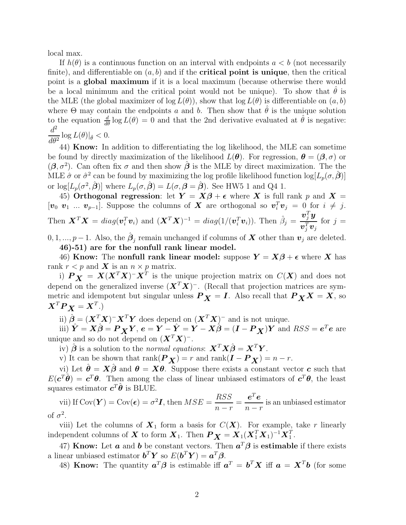local max.

If  $h(\theta)$  is a continuous function on an interval with endpoints  $a < b$  (not necessarily finite), and differentiable on  $(a, b)$  and if the **critical point is unique**, then the critical point is a global maximum if it is a local maximum (because otherwise there would be a local minimum and the critical point would not be unique). To show that  $\theta$  is the MLE (the global maximizer of  $log L(\theta)$ ), show that  $log L(\theta)$  is differentiable on  $(a, b)$ where  $\Theta$  may contain the endpoints a and b. Then show that  $\theta$  is the unique solution to the equation  $\frac{d}{d\theta} \log L(\theta) = 0$  and that the 2nd derivative evaluated at  $\hat{\theta}$  is negative:  $d^2$  $\frac{d}{d\theta^2} \log L(\theta)|_{\hat{\theta}} < 0.$ 

44) Know: In addition to differentiating the log likelihood, the MLE can sometime be found by directly maximization of the likelihood  $L(\theta)$ . For regression,  $\theta = (\beta, \sigma)$  or  $(\beta, \sigma^2)$ . Can often fix  $\sigma$  and then show  $\hat{\beta}$  is the MLE by direct maximization. The the MLE  $\hat{\sigma}$  or  $\hat{\sigma}^2$  can be found by maximizing the log profile likelihood function  $\log[L_p(\sigma, \hat{\boldsymbol{\beta}})]$ or  $\log[L_p(\sigma^2, \hat{\boldsymbol{\beta}})]$  where  $L_p(\sigma, \hat{\boldsymbol{\beta}}) = L(\sigma, \boldsymbol{\beta} = \hat{\boldsymbol{\beta}})$ . See HW5 1 and Q4 1.

45) Orthogonal regression: let  $Y = X\beta + \epsilon$  where X is full rank p and  $X =$  $[\mathbf{v}_0 \ \mathbf{v}_1 \ \dots \ \mathbf{v}_{p-1}]$ . Suppose the columns of X are orthogonal so  $\mathbf{v}_i^T \mathbf{v}_j = 0$  for  $i \neq j$ . Then  $\mathbf{X}^T\mathbf{X} = diag(\mathbf{v}_i^T\mathbf{v}_i)$  and  $(\mathbf{X}^T\mathbf{X})^{-1} = diag(1/(\mathbf{v}_i^T\mathbf{v}_i))$ . Then  $\hat{\beta}_j =$  $\boldsymbol{v}_j^T \boldsymbol{y}$  $\boldsymbol{v}_j^T\boldsymbol{v}_j$ for  $j =$ 

 $0, 1, ..., p-1$ . Also, the  $\hat{\boldsymbol{\beta}}_j$  remain unchanged if columns of **X** other than  $\boldsymbol{v}_j$  are deleted. 46)-51) are for the nonfull rank linear model.

46) Know: The nonfull rank linear model: suppose  $Y = X\beta + \epsilon$  where X has rank  $r < p$  and **X** is an  $n \times p$  matrix.

i)  $\mathbf{P}_{\mathbf{X}} = \mathbf{X} (\mathbf{X}^T \mathbf{X}) - \mathbf{X}^T$  is the unique projection matrix on  $C(\mathbf{X})$  and does not depend on the generalized inverse  $(X^T X)^-$ . (Recall that projection matrices are symmetric and idempotent but singular unless  $P_X = I$ . Also recall that  $P_X X = X$ , so  $\boldsymbol{X}^T \boldsymbol{P} \boldsymbol{X} = \boldsymbol{X}^T.$ 

ii)  $\hat{\boldsymbol{\beta}} = (\boldsymbol{X}^T \boldsymbol{X})^- \boldsymbol{X}^T \boldsymbol{Y}$  does depend on  $(\boldsymbol{X}^T \boldsymbol{X})^-$  and is not unique.

iii)  $\hat{\bm{Y}} = \bm{X}\hat{\bm{\beta}} = \bm{P}_{\bm{X}}\bm{Y}, \ \bm{e} = \bm{Y} - \hat{\bm{Y}} = \bm{Y} - \bm{X}\hat{\bm{\beta}} = (\bm{I} - \bm{P}_{\bm{X}})\bm{Y} \ \text{and} \ RSS = \bm{e}^T\bm{e} \ \text{are}$ unique and so do not depend on  $(\boldsymbol{X}^T \boldsymbol{X})^-$ .

iv)  $\hat{\boldsymbol{\beta}}$  is a solution to the normal equations:  $\mathbf{X}^T \mathbf{X} \hat{\boldsymbol{\beta}} = \mathbf{X}^T \mathbf{Y}$ .

v) It can be shown that  $\text{rank}(\boldsymbol{P}_{\boldsymbol{X}}) = r$  and  $\text{rank}(\boldsymbol{I} - \boldsymbol{P}_{\boldsymbol{X}}) = n - r$ .

vi) Let  $\hat{\theta} = X\hat{\beta}$  and  $\theta = X\theta$ . Suppose there exists a constant vector c such that  $E(c^T\hat{\theta}) = c^T\theta$ . Then among the class of linear unbiased estimators of  $c^T\theta$ , the least squares estimator  $c^T\hat{\theta}$  is BLUE.

vii) If Cov $(\boldsymbol{Y}) = \text{Cov}(\boldsymbol{\epsilon}) = \sigma^2 \boldsymbol{I}$ , then  $MSE = \frac{RSS}{S}$  $n - r$ =  $\bm{e}^T\bm{e}$  $n - r$ is an unbiased estimator of  $\sigma^2$ .

viii) Let the columns of  $X_1$  form a basis for  $C(X)$ . For example, take r linearly independent columns of  $\boldsymbol{X}$  to form  $\boldsymbol{X}_1$ . Then  $\boldsymbol{P}_{\boldsymbol{X}} = \boldsymbol{X}_1(\boldsymbol{X}_1^T\boldsymbol{X}_1)^{-1}\boldsymbol{X}_1^T$ .

47) Know: Let  $\boldsymbol{a}$  and  $\boldsymbol{b}$  be constant vectors. Then  $\boldsymbol{a}^T\boldsymbol{\beta}$  is estimable if there exists a linear unbiased estimator  $\boldsymbol{b}^T \boldsymbol{Y}$  so  $E(\boldsymbol{b}^T \boldsymbol{Y}) = \boldsymbol{a}^T \boldsymbol{\beta}$ .

48) Know: The quantity  $a^T \beta$  is estimable iff  $a^T = b^T X$  iff  $a = X^T b$  (for some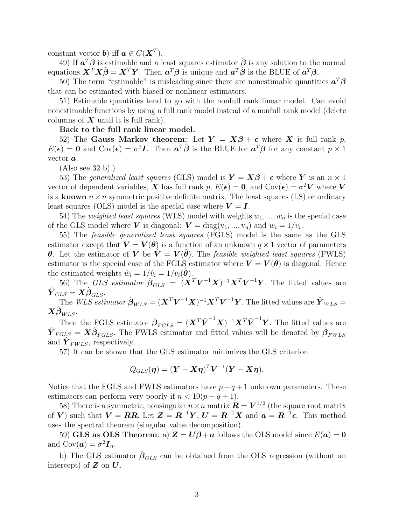constant vector **b**) iff  $a \in C(X^T)$ .

49) If  $a^T\beta$  is estimable and a least squares estimator  $\hat{\beta}$  is any solution to the normal equations  $\mathbf{X}^T \mathbf{X} \hat{\boldsymbol{\beta}} = \mathbf{X}^T \mathbf{Y}$ . Then  $\boldsymbol{a}^T \boldsymbol{\beta}$  is unique and  $\boldsymbol{a}^T \hat{\boldsymbol{\beta}}$  is the BLUE of  $\boldsymbol{a}^T \boldsymbol{\beta}$ .

50) The term "estimable" is misleading since there are nonestimable quantities  $a^T \beta$ that can be estimated with biased or nonlinear estimators.

51) Estimable quantities tend to go with the nonfull rank linear model. Can avoid nonestimable functions by using a full rank model instead of a nonfull rank model (delete columns of  $X$  until it is full rank).

Back to the full rank linear model.

52) The Gauss Markov theorem: Let  $Y = X\beta + \epsilon$  where X is full rank p,  $E(\epsilon) = 0$  and  $Cov(\epsilon) = \sigma^2 I$ . Then  $a^T \hat{\beta}$  is the BLUE for  $a^T \beta$  for any constant  $p \times 1$ vector a.

(Also see 32 b).)

53) The generalized least squares (GLS) model is  $\mathbf{Y} = \mathbf{X}\boldsymbol{\beta} + \boldsymbol{\epsilon}$  where Y is an  $n \times 1$ vector of dependent variables, X has full rank  $p, E(\epsilon) = 0$ , and  $Cov(\epsilon) = \sigma^2 V$  where V is a known  $n \times n$  symmetric positive definite matrix. The least squares (LS) or ordinary least squares (OLS) model is the special case where  $V = I$ .

54) The *weighted least squares* (WLS) model with weights  $w_1, ..., w_n$  is the special case of the GLS model where V is diagonal:  $V = diag(v_1, ..., v_n)$  and  $w_i = 1/v_i$ .

55) The feasible generalized least squares (FGLS) model is the same as the GLS estimator except that  $V = V(\theta)$  is a function of an unknown  $q \times 1$  vector of parameters **θ**. Let the estimator of **V** be  $V = V(\theta)$ . The feasible weighted least squares (FWLS) estimator is the special case of the FGLS estimator where  $V = V(\theta)$  is diagonal. Hence the estimated weights  $\hat{w}_i = 1/\hat{v}_i = 1/v_i(\hat{\theta})$ .

56) The GLS estimator  $\hat{\boldsymbol{\beta}}_{GLS} = (\boldsymbol{X}^T \boldsymbol{V}^{-1} \boldsymbol{X})^{-1} \boldsymbol{X}^T \boldsymbol{V}^{-1} \boldsymbol{Y}$ . The fitted values are  $\hat{\bm{Y}}_{GLS}=\bm{X}\hat{\bm{\beta}}_{GLS}.$ 

The  $WLS$  estimator  $\hat{\boldsymbol{\beta}}_{WLS} = (\boldsymbol{X}^T\boldsymbol{V}^{-1}\boldsymbol{X})^{-1}\boldsymbol{X}^T\boldsymbol{V}^{-1}\boldsymbol{Y}$ . The fitted values are  $\hat{\boldsymbol{Y}}_{WLS} =$  $\bm{X}\hat{\bm{\beta}}_{WLS}.$ 

Then the FGLS estimator  $\hat{\boldsymbol{\beta}}_{FGLS} = (\boldsymbol{X}^T \hat{\boldsymbol{V}}^{-1} \boldsymbol{X})^{-1} \boldsymbol{X}^T \hat{\boldsymbol{V}}^{-1} \boldsymbol{Y}$ . The fitted values are  $\hat{\bm{Y}}_{FGLS} = \bm{X} \hat{\bm{\beta}}_{FGLS}$ . The FWLS estimator and fitted values will be denoted by  $\hat{\bm{\beta}}_{FWLS}$ and  $\hat{\mathbf{Y}}_{FWLS}$ , respectively.

57) It can be shown that the GLS estimator minimizes the GLS criterion

$$
Q_{GLS}(\eta) = (\boldsymbol{Y} - \boldsymbol{X}\boldsymbol{\eta})^T \boldsymbol{V}^{-1} (\boldsymbol{Y} - \boldsymbol{X}\boldsymbol{\eta}).
$$

Notice that the FGLS and FWLS estimators have  $p+q+1$  unknown parameters. These estimators can perform very poorly if  $n < 10(p+q+1)$ .

58) There is a symmetric, nonsingular  $n \times n$  matrix  $\mathbf{R} = \mathbf{V}^{1/2}$  (the square root matrix of V) such that  $V = RR$ . Let  $Z = R^{-1}Y$ ,  $U = R^{-1}X$  and  $\boldsymbol{a} = R^{-1}\boldsymbol{\epsilon}$ . This method uses the spectral theorem (singular value decomposition).

59) GLS as OLS Theorem: a)  $Z = U\beta + a$  follows the OLS model since  $E(a) = 0$ and  $Cov(\boldsymbol{a}) = \sigma^2 \boldsymbol{I}_n$ .

b) The GLS estimator  $\hat{\beta}_{GLS}$  can be obtained from the OLS regression (without an intercept) of  $Z$  on  $U$ .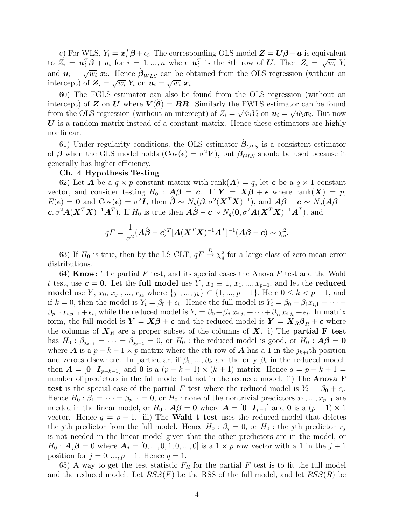c) For WLS,  $Y_i = \boldsymbol{x}_i^T \boldsymbol{\beta} + \epsilon_i$ . The corresponding OLS model  $\boldsymbol{Z} = \boldsymbol{U} \boldsymbol{\beta} + \boldsymbol{a}$  is equivalent to  $Z_i = \mathbf{u}_i^T \boldsymbol{\beta} + a_i$  for  $i = 1, ..., n$  where  $\mathbf{u}_i^T$  is the *i*th row of U. Then  $Z_i = \sqrt{w_i} Y_i$ and  $u_i = \sqrt{w_i} x_i$ . Hence  $\hat{\beta}_{WLS}$  can be obtained from the OLS regression (without an intercept) of  $\mathbf{Z}_i = \sqrt{w_i} Y_i$  on  $\mathbf{u}_i = \sqrt{w_i} \mathbf{x}_i$ .

60) The FGLS estimator can also be found from the OLS regression (without an intercept) of **Z** on **U** where  $V(\theta) = RR$ . Similarly the FWLS estimator can be found from the OLS regression (without an intercept) of  $Z_i = \sqrt{\hat{w}_i} Y_i$  on  $u_i = \sqrt{\hat{w}_i} x_i$ . But now  $U$  is a random matrix instead of a constant matrix. Hence these estimators are highly nonlinear.

61) Under regularity conditions, the OLS estimator  $\hat{\beta}_{OLS}$  is a consistent estimator of  $\beta$  when the GLS model holds ( $Cov(\epsilon) = \sigma^2 V$ ), but  $\hat{\beta}_{GLS}$  should be used because it generally has higher efficiency.

## Ch. 4 Hypothesis Testing

62) Let **A** be a  $q \times p$  constant matrix with rank $(A) = q$ , let **c** be a  $q \times 1$  constant vector, and consider testing  $H_0$ :  $A\beta = c$ . If  $Y = X\beta + \epsilon$  where rank $(X) = p$ ,  $E(\boldsymbol{\epsilon}) = \mathbf{0} \text{ and } \text{Cov}(\boldsymbol{\epsilon}) = \sigma^2 \tilde{\boldsymbol{I}}, \text{ then } \hat{\boldsymbol{\beta}} \sim N_p(\boldsymbol{\beta}, \sigma^2(\boldsymbol{X}^T\boldsymbol{X})^{-1}), \text{ and } \hat{\boldsymbol{A}}\hat{\boldsymbol{\beta}} - \boldsymbol{c} \sim N_q(\boldsymbol{A}\boldsymbol{\beta} - \boldsymbol{I}).$  $c, \sigma^2 A(\boldsymbol{X}^T \boldsymbol{X})^{-1} \boldsymbol{A}^T$ ). If  $H_0$  is true then  $\hat{A}\hat{\boldsymbol{\beta}} - c \sim N_q(\boldsymbol{0}, \sigma^2 \boldsymbol{A} (\boldsymbol{X}^T \boldsymbol{X})^{-1} \boldsymbol{A}^T)$ , and

$$
qF = \frac{1}{\sigma^2} (\mathbf{A}\hat{\boldsymbol{\beta}} - \mathbf{c})^T [\mathbf{A}(\mathbf{X}^T \mathbf{X})^{-1} \mathbf{A}^T]^{-1} (\mathbf{A}\hat{\boldsymbol{\beta}} - \mathbf{c}) \sim \chi_q^2.
$$

63) If  $H_0$  is true, then by the LS CLT,  $qF \stackrel{D}{\rightarrow} \chi_q^2$  for a large class of zero mean error distributions.

64) **Know:** The partial F test, and its special cases the Anova F test and the Wald t test, use  $c = 0$ . Let the full model use Y,  $x_0 \equiv 1, x_1, ..., x_{p-1}$ , and let the reduced model use *Y*,  $x_0, x_{j_1},..., x_{j_k}$  where  $\{j_1,..., j_k\}$  ⊂  $\{1,..., p-1\}$ . Here  $0 \leq k < p-1$ , and if  $k = 0$ , then the model is  $Y_i = \beta_0 + \epsilon_i$ . Hence the full model is  $Y_i = \beta_0 + \beta_1 x_{i,1} + \cdots$  $\beta_{p-1}x_{i,p-1}+\epsilon_i$ , while the reduced model is  $Y_i = \beta_0 + \beta_{j_1}x_{i,j_1} + \cdots + \beta_{j_k}x_{i,j_k}+\epsilon_i$ . In matrix form, the full model is  $Y = X\beta + \epsilon$  and the reduced model is  $Y = X_R\beta_R + \epsilon$  where the columns of  $X_R$  are a proper subset of the columns of X. i) The **partial F** test has  $H_0: \beta_{j_{k+1}} = \cdots = \beta_{j_{p-1}} = 0$ , or  $H_0:$  the reduced model is good, or  $H_0: \mathbf{A}\mathbf{\beta} = \mathbf{0}$ where **A** is a  $p - k - 1 \times p$  matrix where the *i*th row of **A** has a 1 in the  $j_{k+i}$ <sup>th</sup> position and zeroes elsewhere. In particular, if  $\beta_0, ..., \beta_k$  are the only  $\beta_i$  in the reduced model, then  $\mathbf{A} = \begin{bmatrix} 0 & I_{p-k-1} \end{bmatrix}$  and  $\mathbf{0}$  is a  $(p-k-1) \times (k+1)$  matrix. Hence  $q = p-k+1$ number of predictors in the full model but not in the reduced model. ii) The **Anova F** test is the special case of the partial F test where the reduced model is  $Y_i = \beta_0 + \epsilon_i$ . Hence  $H_0: \beta_1 = \cdots = \beta_{p-1} = 0$ , or  $H_0:$  none of the nontrivial predictors  $x_1, ..., x_{p-1}$  are needed in the linear model, or  $H_0: \mathbf{A}\boldsymbol{\beta} = \mathbf{0}$  where  $\mathbf{A} = \begin{bmatrix} 0 & I_{p-1} \end{bmatrix}$  and  $\mathbf{0}$  is a  $(p-1) \times 1$ vector. Hence  $q = p - 1$ . iii) The **Wald t test** uses the reduced model that deletes the jth predictor from the full model. Hence  $H_0$ :  $\beta_j = 0$ , or  $H_0$ : the jth predictor  $x_j$ is not needed in the linear model given that the other predictors are in the model, or  $H_0: \mathbf{A}_j \mathbf{\beta} = 0$  where  $\mathbf{A}_j = [0, ..., 0, 1, 0, ..., 0]$  is a  $1 \times p$  row vector with a 1 in the  $j + 1$ position for  $j = 0, ..., p - 1$ . Hence  $q = 1$ .

65) A way to get the test statistic  $F_R$  for the partial F test is to fit the full model and the reduced model. Let  $RSS(F)$  be the RSS of the full model, and let  $RSS(R)$  be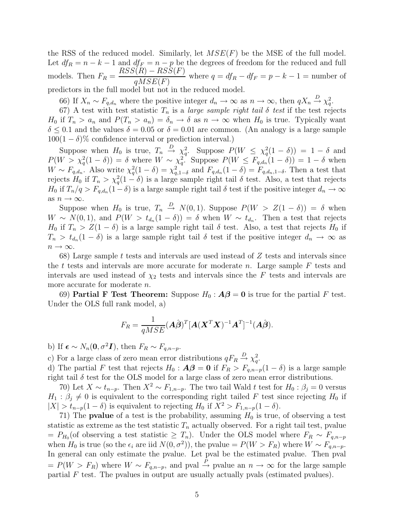the RSS of the reduced model. Similarly, let  $MSE(F)$  be the MSE of the full model. Let  $df_R = n - k - 1$  and  $df_F = n - p$  be the degrees of freedom for the reduced and full models. Then  $F_R = \frac{RSS(R) - RSS(F)}{RSE(F)}$  $\frac{qMSE(F)}{qMSE(F)}$  where  $q = df_R - df_F = p - k - 1 =$  number of predictors in the full model but not in the reduced model.

66) If  $X_n \sim F_{q,d_n}$  where the positive integer  $d_n \to \infty$  as  $n \to \infty$ , then  $qX_n \stackrel{D}{\to} \chi_q^2$ .

67) A test with test statistic  $T_n$  is a *large sample right tail*  $\delta$  *test* if the test rejects  $H_0$  if  $T_n > a_n$  and  $P(T_n > a_n) = \delta_n \to \delta$  as  $n \to \infty$  when  $H_0$  is true. Typically want  $\delta \leq 0.1$  and the values  $\delta = 0.05$  or  $\delta = 0.01$  are common. (An analogy is a large sample  $100(1 - \delta)\%$  confidence interval or prediction interval.)

Suppose when  $H_0$  is true,  $T_n \stackrel{D}{\rightarrow} \chi_q^2$ . Suppose  $P(W \leq \chi_q^2(1-\delta)) = 1-\delta$  and  $P(W > \chi_q^2(1-\delta)) = \delta$  where  $W \sim \chi_q^2$ . Suppose  $P(W \leq F_{q,d_n}(1-\delta)) = 1-\delta$  when  $W \sim F_{q,d_n}$ . Also write  $\chi_q^2(1-\delta) = \chi_{q,1-\delta}^2$  and  $F_{q,d_n}(1-\delta) = F_{q,d_n,1-\delta}$ . Then a test that rejects  $H_0$  if  $T_n > \chi_q^2(1-\delta)$  is a large sample right tail  $\delta$  test. Also, a test that rejects  $H_0$  if  $T_n/q > F_{q,d_n}(1-\delta)$  is a large sample right tail  $\delta$  test if the positive integer  $d_n \to \infty$ as  $n \to \infty$ .

Suppose when  $H_0$  is true,  $T_n \stackrel{D}{\rightarrow} N(0, 1)$ . Suppose  $P(W > Z(1 - \delta)) = \delta$  when  $W \sim N(0, 1)$ , and  $P(W > t_{d_n}(1 - \delta)) = \delta$  when  $W \sim t_{d_n}$ . Then a test that rejects  $H_0$  if  $T_n > Z(1 - \delta)$  is a large sample right tail  $\delta$  test. Also, a test that rejects  $H_0$  if  $T_n > t_{d_n}(1 - \delta)$  is a large sample right tail  $\delta$  test if the positive integer  $d_n \to \infty$  as  $n \to \infty$ .

68) Large sample t tests and intervals are used instead of  $Z$  tests and intervals since the t tests and intervals are more accurate for moderate n. Large sample  $F$  tests and intervals are used instead of  $\chi_2$  tests and intervals since the F tests and intervals are more accurate for moderate *n*.

69) Partial F Test Theorem: Suppose  $H_0: \mathcal{A}\beta = 0$  is true for the partial F test. Under the OLS full rank model, a)

$$
F_R = \frac{1}{qMSE} (\mathbf{A}\hat{\boldsymbol{\beta}})^T [\mathbf{A}(\mathbf{X}^T \mathbf{X})^{-1} \mathbf{A}^T]^{-1} (\mathbf{A}\hat{\boldsymbol{\beta}}).
$$

b) If  $\boldsymbol{\epsilon} \sim N_n(\boldsymbol{0}, \sigma^2 \boldsymbol{I})$ , then  $F_R \sim F_{q,n-p}$ .

c) For a large class of zero mean error distributions  $qF_R \stackrel{D}{\rightarrow} \chi_q^2$ .

d) The partial F test that rejects  $H_0: \mathbf{A}\boldsymbol{\beta} = \mathbf{0}$  if  $F_R > F_{q,n-p}(1-\delta)$  is a large sample right tail  $\delta$  test for the OLS model for a large class of zero mean error distributions.

70) Let  $X \sim t_{n-p}$ . Then  $X^2 \sim F_{1,n-p}$ . The two tail Wald t test for  $H_0: \beta_j = 0$  versus  $H_1$ :  $\beta_j \neq 0$  is equivalent to the corresponding right tailed F test since rejecting  $H_0$  if  $|X| > t_{n-p}(1-\delta)$  is equivalent to rejecting  $H_0$  if  $X^2 > F_{1,n-p}(1-\delta)$ .

71) The **pvalue** of a test is the probability, assuming  $H_0$  is true, of observing a test statistic as extreme as the test statistic  $T_n$  actually observed. For a right tail test, pvalue  $= P_{H_0}(\text{of observing a test statistic} \geq T_n).$  Under the OLS model where  $F_R \sim F_{q,n-p}$ when  $H_0$  is true (so the  $\epsilon_i$  are iid  $N(0, \sigma^2)$ ), the pvalue =  $P(W > F_R)$  where  $W \sim F_{q,n-p}$ . In general can only estimate the pvalue. Let pval be the estimated pvalue. Then pval  $= P(W > F_R)$  where  $W \sim F_{q,n-p}$ , and pval  $\stackrel{P}{\to}$  pvalue an  $n \to \infty$  for the large sample partial  $F$  test. The pvalues in output are usually actually pvals (estimated pvalues).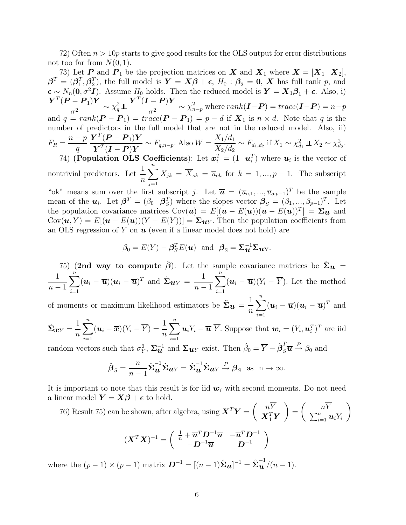72) Often  $n > 10p$  starts to give good results for the OLS output for error distributions not too far from  $N(0, 1)$ .

73) Let **P** and  $P_1$  be the projection matrices on **X** and  $X_1$  where  $X = [X_1 \ X_2]$ ,  $\boldsymbol{\beta}^T = (\boldsymbol{\beta}_1^T, \boldsymbol{\beta}_2^T)$ , the full model is  $\boldsymbol{Y} = \boldsymbol{X}\boldsymbol{\beta} + \boldsymbol{\epsilon}$ ,  $H_0: \boldsymbol{\beta}_2 = \boldsymbol{0}$ ,  $\boldsymbol{X}$  has full rank  $p$ , and  $\epsilon \sim N_n(0, \sigma^2 I)$ . Assume  $H_0$  holds. Then the reduced model is  $\mathbf{Y} = \mathbf{X}_1 \boldsymbol{\beta}_1 + \epsilon$ . Also, i)  $\bm{Y}^T(\bm{P}-\bm{P}_1)\bm{Y}$  $\frac{\overline{a}^2 - 1}{\sigma^2} \sim \chi_q^2$ q  $\bm{Y}^T(\bm{I}-\bm{P})\bm{Y}$  $\frac{(-1)^n}{\sigma^2} \sim \chi^2_{n-p}$  where  $rank(\mathbf{I}-\mathbf{P}) = trace(\mathbf{I}-\mathbf{P}) = n-p$ and  $q = rank(\mathbf{P} - \mathbf{P}_1) = trace(\mathbf{P} - \mathbf{P}_1) = p - d$  if  $\mathbf{X}_1$  is  $n \times d$ . Note that q is the number of predictors in the full model that are not in the reduced model. Also, ii)  $F_R = \frac{n-p}{n}$ q  $\bm{Y}^T(\bm{P}-\bm{P}_1)\bm{Y}$  $\boldsymbol{Y}^T(\boldsymbol{I}-\boldsymbol{P})\boldsymbol{Y}$  $\sim F_{q,n-p}$ . Also  $W =$  $X_1/d_1$  $\frac{X_1/a_1}{X_2/d_2} \sim F_{d_1,d_2}$  if  $X_1 \sim \chi_{d_1}^2 \perp X_2 \sim \chi_{d_2}^2$ . 74) (Population OLS Coefficients): Let  $x_i^T = (1 \quad u_i^T)$  where  $u_i$  is the vector of nontrivial predictors. Let  $\frac{1}{1}$  $\overline{n}$  $\sum_{n=1}^{\infty}$  $j=1$  $X_{jk} = X_{ok} = \overline{u}_{ok}$  for  $k = 1, ..., p - 1$ . The subscript

"ok" means sum over the first subscript j. Let  $\overline{\mathbf{u}} = (\overline{u}_{o,1},...,\overline{u}_{o,p-1})^T$  be the sample mean of the  $u_i$ . Let  $\boldsymbol{\beta}^T = (\beta_0 \ \ \boldsymbol{\beta}_S^T)$  $(S)$  where the slopes vector  $\boldsymbol{\beta}_{S} = (\beta_1, ..., \beta_{p-1})^T$ . Let the population covariance matrices  $Cov(\boldsymbol{u}) = E[(\boldsymbol{u} - E(\boldsymbol{u}))(\boldsymbol{u} - E(\boldsymbol{u}))^T] = \Sigma \boldsymbol{u}$  and  $Cov(\boldsymbol{u}, Y) = E[(\boldsymbol{u} - E(\boldsymbol{u}))(Y - E(Y))] = \Sigma_{\boldsymbol{u} Y}$ . Then the population coefficients from an OLS regression of Y on  $u$  (even if a linear model does not hold) are

$$
\beta_0 = E(Y) - \beta_S^T E(\boldsymbol{u})
$$
 and  $\beta_S = \Sigma_{\boldsymbol{u}}^{-1} \Sigma_{\boldsymbol{u} Y}.$ 

75) (2nd way to compute  $\hat{\beta}$ ): Let the sample covariance matrices be  $\hat{\Sigma}_u$  = 1  $n-1$  $\sum_{n=1}^{\infty}$  $i=1$  $(\boldsymbol{u}_i - \overline{\boldsymbol{u}})(\boldsymbol{u}_i - \overline{\boldsymbol{u}})^T$  and  $\hat{\boldsymbol{\Sigma}}_{\boldsymbol{u}Y} = \frac{1}{n-1}$  $n-1$  $\sum_{n=1}^{\infty}$  $i=1$  $(\boldsymbol{u}_i - \boldsymbol{\overline{u}})(Y_i - Y)$ . Let the method

of moments or maximum likelihood estimators be  $\tilde{\Sigma}_{u} = \frac{1}{n}$  $\overline{n}$  $\sum_{n=1}^{\infty}$  $i=1$  $(\boldsymbol{u}_i - \overline{\boldsymbol{u}})(\boldsymbol{u}_i - \overline{\boldsymbol{u}})^T$  and

$$
\tilde{\Sigma}_{\boldsymbol{x}Y} = \frac{1}{n} \sum_{i=1}^{n} (\boldsymbol{u}_i - \overline{\boldsymbol{x}})(Y_i - \overline{Y}) = \frac{1}{n} \sum_{i=1}^{n} \boldsymbol{u}_i Y_i - \overline{\boldsymbol{u}} \ \overline{Y}.
$$
 Suppose that  $\boldsymbol{w}_i = (Y_i, \boldsymbol{u}_i^T)^T$  are iid

random vectors such that  $\sigma_Y^2$ ,  $\Sigma_{\mathbf{u}}^{-1}$  and  $\Sigma_{\mathbf{u}Y}$  exist. Then  $\hat{\beta}_0 = \overline{Y} - \hat{\beta}_S^T \overline{\mathbf{u}} \stackrel{P}{\rightarrow} \beta_0$  and

$$
\hat{\boldsymbol{\beta}}_S = \frac{n}{n-1} \hat{\boldsymbol{\Sigma}} \hat{\boldsymbol{u}}^{-1} \tilde{\boldsymbol{\Sigma}} \boldsymbol{u}_Y = \tilde{\boldsymbol{\Sigma}} \hat{\boldsymbol{u}}^{-1} \tilde{\boldsymbol{\Sigma}} \boldsymbol{u}_Y \stackrel{P}{\rightarrow} \boldsymbol{\beta}_S \text{ as } n \rightarrow \infty.
$$

It is important to note that this result is for iid  $w_i$  with second moments. Do not need a linear model  $Y = X\beta + \epsilon$  to hold.

76) Result 75) can be shown, after algebra, using 
$$
\mathbf{X}^T \mathbf{Y} = \begin{pmatrix} n\overline{Y} \\ \mathbf{X}_1^T \mathbf{Y} \end{pmatrix} = \begin{pmatrix} n\overline{Y} \\ \sum_{i=1}^n u_i Y_i \end{pmatrix}
$$
  

$$
(\mathbf{X}^T \mathbf{X})^{-1} = \begin{pmatrix} \frac{1}{n} + \overline{\mathbf{u}}^T \mathbf{D}^{-1} \overline{\mathbf{u}} & -\overline{\mathbf{u}}^T \mathbf{D}^{-1} \\ -\mathbf{D}^{-1} \overline{\mathbf{u}} & \mathbf{D}^{-1} \end{pmatrix}
$$

where the  $(p-1) \times (p-1)$  matrix  $\mathbf{D}^{-1} = [(n-1)\hat{\Sigma}_{\mathbf{u}}]^{-1} = \hat{\Sigma}_{\mathbf{u}}^{-1}/(n-1)$ .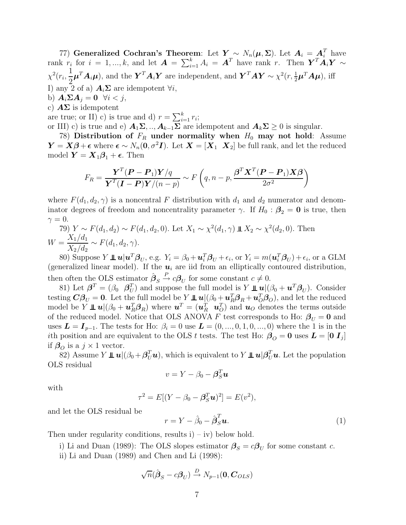77) Generalized Cochran's Theorem: Let  $Y \sim N_n(\mu, \Sigma)$ . Let  $A_i = A_i^T$  have rank  $r_i$  for  $i = 1, ..., k$ , and let  $\mathbf{A} = \sum_{i=1}^k A_i = \mathbf{A}^T$  have rank r. Then  $\mathbf{Y}^T \mathbf{A}_i \mathbf{Y} \sim$  $\chi^2(r_i,\frac{1}{2})$ 2  $\mu^T A_i \mu$ ), and the  $\bm{Y}^T A_i \bm{Y}$  are independent, and  $\bm{Y}^T A \bm{Y} \sim \chi^2(r, \frac{1}{2} \mu^T A \mu)$ , iff I) any 2 of a)  $A_i\Sigma$  are idempotent  $\forall i$ , b)  $\mathbf{A}_i \Sigma \mathbf{A}_j = \mathbf{0} \quad \forall i < j,$ c)  $\mathbf{A}\Sigma$  is idempotent

are true; or II) c) is true and d)  $r = \sum_{i=1}^{k} r_i$ ;

or III) c) is true and e)  $A_1\Sigma$ , ..,  $A_{k-1}\Sigma$  are idempotent and  $A_k\Sigma \geq 0$  is singular.

78) Distribution of  $F_R$  under normality when  $H_0$  may not hold: Assume  $\mathbf{Y} = \mathbf{X}\boldsymbol{\beta} + \boldsymbol{\epsilon}$  where  $\boldsymbol{\epsilon} \sim N_n(\mathbf{0}, \sigma^2 \mathbf{I})$ . Let  $\mathbf{X} = [\mathbf{X}_1 \ \mathbf{X}_2]$  be full rank, and let the reduced model  $Y = X_1 \beta_1 + \epsilon$ . Then

$$
F_R = \frac{\boldsymbol{Y}^T (\boldsymbol{P} - \boldsymbol{P}_1) \boldsymbol{Y} / q}{\boldsymbol{Y}^T (\boldsymbol{I} - \boldsymbol{P}) \boldsymbol{Y} / (n - p)} \sim F\left(q, n - p, \frac{\boldsymbol{\beta}^T \boldsymbol{X}^T (\boldsymbol{P} - \boldsymbol{P}_1) \boldsymbol{X} \boldsymbol{\beta}}{2\sigma^2}\right)
$$

where  $F(d_1, d_2, \gamma)$  is a noncentral F distribution with  $d_1$  and  $d_2$  numerator and denominator degrees of freedom and noncentrality parameter  $\gamma$ . If  $H_0$  :  $\beta_2 = 0$  is true, then  $\gamma=0.$ 

79)  $Y \sim F(d_1, d_2) \sim F(d_1, d_2, 0)$ . Let  $X_1 \sim \chi^2(d_1, \gamma) \perp X_2 \sim \chi^2(d_2, 0)$ . Then  $W = \frac{X_1/d_1}{X_1/d_1}$  $\frac{X_1/\alpha_1}{X_2/d_2} \sim F(d_1, d_2, \gamma).$ 

80) Suppose  $Y \perp \!\!\!\!\perp u | \mathbf{u}^T \boldsymbol{\beta}_U$ , e.g.  $Y_i = \beta_0 + \mathbf{u}_i^T \boldsymbol{\beta}_U + \epsilon_i$ , or  $Y_i = m(\mathbf{u}_i^T \boldsymbol{\beta}_U) + \epsilon_i$ , or a GLM (generalized linear model). If the  $u_i$  are iid from an elliptically contoured distribution, then often the OLS estimator  $\hat{\boldsymbol{\beta}}_S \stackrel{P}{\rightarrow} c\boldsymbol{\beta}_U$  for some constant  $c \neq 0$ .

81) Let  $\boldsymbol{\beta}^T = (\beta_0 \ \beta_U^T)$  and suppose the full model is  $Y \perp \boldsymbol{u} | (\beta_0 + \boldsymbol{u}^T \boldsymbol{\beta}_U)$ . Consider testing  $\mathbf{C}\boldsymbol{\beta}_{U} = \mathbf{0}$ . Let the full model be  $Y \perp \!\!\!\perp \mathbf{u} | (\beta_0 + \mathbf{u}_R^T \boldsymbol{\beta}_R + \mathbf{u}_O^T \boldsymbol{\beta}_O)$ , and let the reduced model be  $Y \perp \!\!\!\perp u | (\beta_0 + u_R^T) \mathcal{B}_R$  where  $u^T = (u_R^T u_O^T)$  and  $u_O$  denotes the terms outside of the reduced model. Notice that OLS ANOVA F test corresponds to Ho:  $\beta_U = 0$  and uses  $L = I_{p-1}$ . The tests for Ho:  $\beta_i = 0$  use  $L = (0, ..., 0, 1, 0, ..., 0)$  where the 1 is in the ith position and are equivalent to the OLS t tests. The test Ho:  $\beta_{\scriptscriptstyle O} = 0$  uses  $L = [0 I_j]$ if  $\beta_o$  is a  $j \times 1$  vector.

82) Assume  $Y \perp \!\!\!\perp u | (\beta_0 + \beta_U^T u)$ , which is equivalent to  $Y \perp \!\!\!\perp u | \beta_U^T u$ . Let the population OLS residual

$$
v = Y - \beta_0 - \boldsymbol{\beta}_S^T \boldsymbol{u}
$$

with

$$
\tau^2 = E[(Y - \beta_0 - \boldsymbol{\beta}_S^T \boldsymbol{u})^2] = E(v^2),
$$

and let the OLS residual be

$$
r = Y - \hat{\beta}_0 - \hat{\boldsymbol{\beta}}_S^T \boldsymbol{u}.
$$
 (1)

Then under regularity conditions, results  $i$  – iv) below hold.

i) Li and Duan (1989): The OLS slopes estimator  $\beta_S = c\beta_U$  for some constant c.

ii) Li and Duan (1989) and Chen and Li (1998):

$$
\sqrt{n}(\hat{\boldsymbol{\beta}}_S - c\boldsymbol{\beta}_U) \stackrel{D}{\rightarrow} N_{p-1}(\mathbf{0}, \mathbf{C}_{OLS})
$$